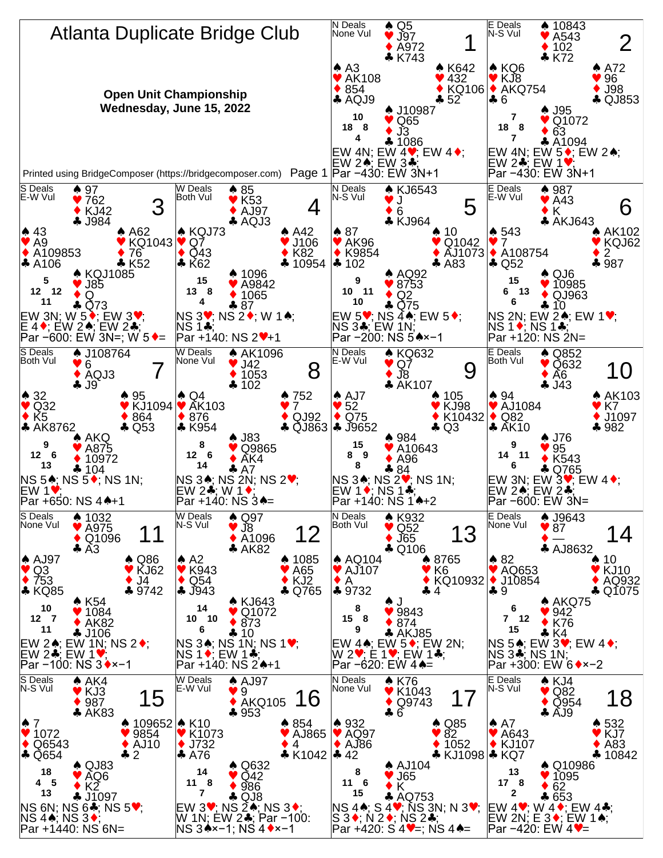